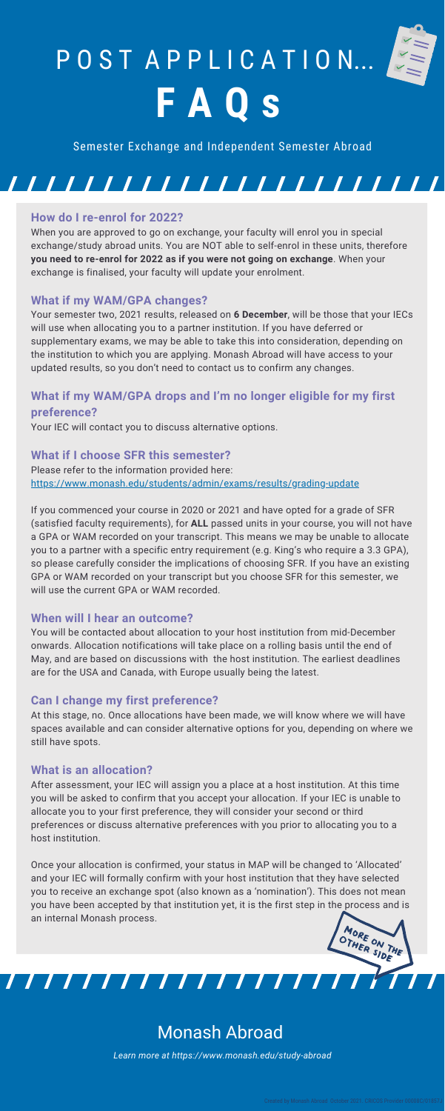### **How do I re-enrol for 2022?**

When you are approved to go on exchange, your faculty will enrol you in special exchange/study abroad units. You are NOT able to self-enrol in these units, therefore **you need to re-enrol for 2022 as if you were not going on exchange**. When your exchange is finalised, your faculty will update your enrolment.

### **What if my WAM/GPA changes?**

Your semester two, 2021 results, released on **6 December**, will be those that your IECs will use when allocating you to a partner institution. If you have deferred or supplementary exams, we may be able to take this into consideration, depending on the institution to which you are applying. Monash Abroad will have access to your updated results, so you don't need to contact us to confirm any changes.

# **What if my WAM/GPA drops and I'm no longer eligible for my first preference?**

Your IEC will contact you to discuss alternative options.

### **What if I choose SFR this semester?**

Please refer to the information provided here: <https://www.monash.edu/students/admin/exams/results/grading-update>

Once your allocation is confirmed, your status in MAP will be changed to 'Allocated' and your IEC will formally confirm with your host institution that they have selected you to receive an exchange spot (also known as a 'nomination'). This does not mean you have been accepted by that institution yet, it is the first step in the process and is an internal Monash process. MORE ON THE

If you commenced your course in 2020 or 2021 and have opted for a grade of SFR (satisfied faculty requirements), for **ALL** passed units in your course, you will not have a GPA or WAM recorded on your transcript. This means we may be unable to allocate you to a partner with a specific entry requirement (e.g. King's who require a 3.3 GPA), so please carefully consider the implications of choosing SFR. If you have an existing GPA or WAM recorded on your transcript but you choose SFR for this semester, we will use the current GPA or WAM recorded.

# P O S T A P P L I C A T I O N... **F A Q s**



### **When will I hear an outcome?**

You will be contacted about allocation to your host institution from mid-December onwards. Allocation notifications will take place on a rolling basis until the end of May, and are based on discussions with the host institution. The earliest deadlines

are for the USA and Canada, with Europe usually being the latest.

### **Can I change my first preference?**

At this stage, no. Once allocations have been made, we will know where we will have spaces available and can consider alternative options for you, depending on where we still have spots.

### **What is an allocation?**

After assessment, your IEC will assign you a place at a host institution. At this time you will be asked to confirm that you accept your allocation. If your IEC is unable to allocate you to your first preference, they will consider your second or third preferences or discuss alternative preferences with you prior to allocating you to a host institution.



7 7 7 7 7 7 7 7 7 7 7 7

*Learn more at https://www.monash.edu/study-abroad*

Semester Exchange and Independent Semester Abroad

#